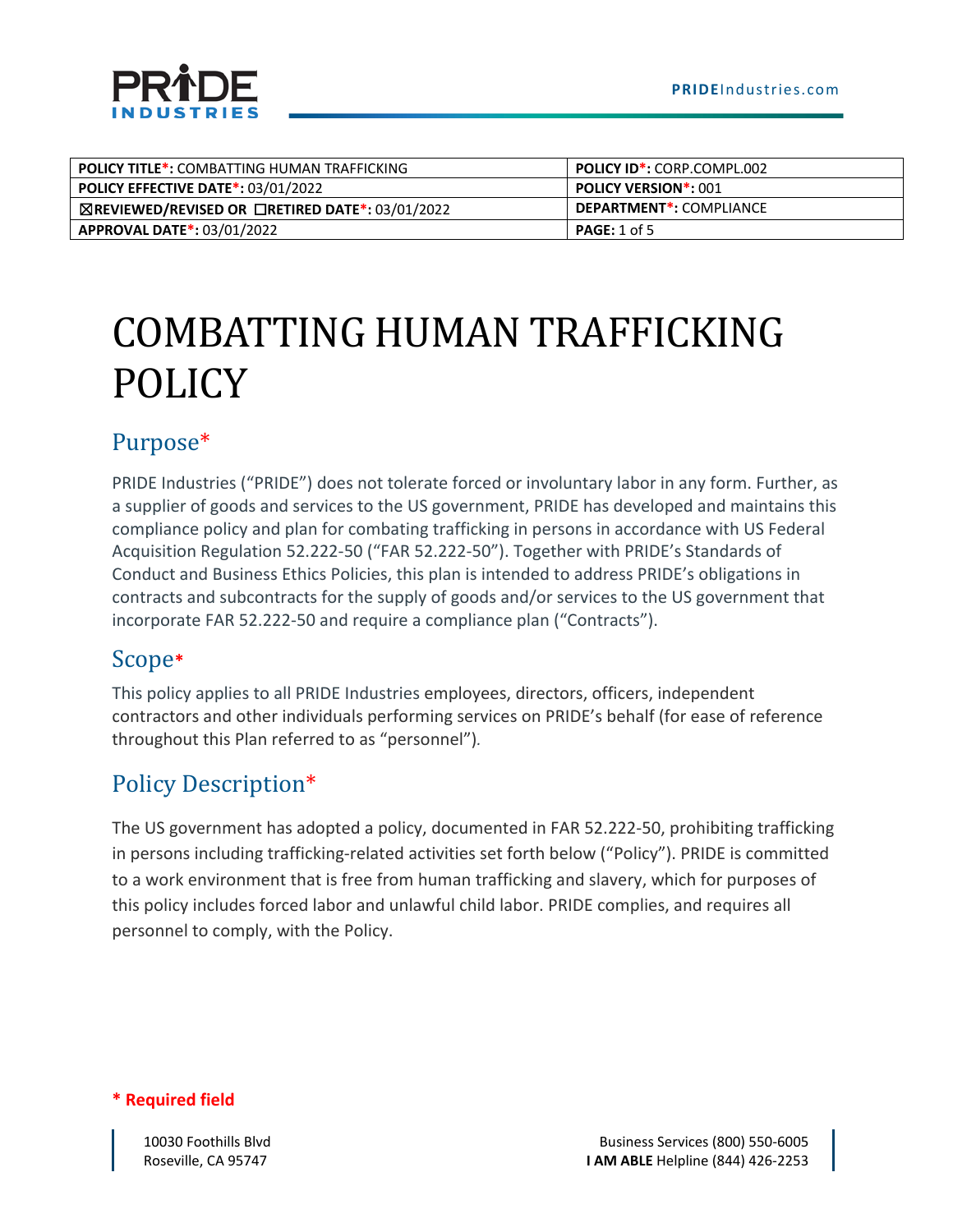



| <b>POLICY TITLE*: COMBATTING HUMAN TRAFFICKING</b>               | <b>POLICY ID*: CORP.COMPL.002</b>    |
|------------------------------------------------------------------|--------------------------------------|
| <b>POLICY EFFECTIVE DATE*: 03/01/2022</b>                        | <b>POLICY VERSION*: 001</b>          |
| $\boxtimes$ REVIEWED/REVISED OR $\Box$ RETIRED DATE*: 03/01/2022 | DEPARTMENT <sup>*</sup> : COMPLIANCE |
| <b>APPROVAL DATE*: 03/01/2022</b>                                | <b>PAGE:</b> 1 of 5                  |

# COMBATTING HUMAN TRAFFICKING POLICY

# Purpose\*

PRIDE Industries ("PRIDE") does not tolerate forced or involuntary labor in any form. Further, as a supplier of goods and services to the US government, PRIDE has developed and maintains this compliance policy and plan for combating trafficking in persons in accordance with US Federal Acquisition Regulation 52.222-50 ("FAR 52.222-50"). Together with [PRIDE's Standards](https://bynder.hexagon.com/web/47ccc466761d58f3/hexagon-code-of-business-conduct-and-ethics/) of [Conduct and Business Ethics](https://bynder.hexagon.com/web/47ccc466761d58f3/hexagon-code-of-business-conduct-and-ethics/) Policies, this plan is intended to address PRIDE's obligations in contracts and subcontracts for the supply of goods and/or services to the US government that incorporate FAR 52.222-50 and require a compliance plan ("Contracts").

# Scope**\***

This policy applies to all PRIDE Industries employees, directors, officers, independent contractors and other individuals performing services on PRIDE's behalf (for ease of reference throughout this Plan referred to as "personnel")*.*

# Policy Description\*

The US government has adopted a policy, documented in FAR 52.222-50, prohibiting trafficking in persons including trafficking-related activities set forth below ("Policy"). PRIDE is committed to a work environment that is free from human trafficking and slavery, which for purposes of this policy includes forced labor and unlawful child labor. PRIDE complies, and requires all personnel to comply, with the Policy.

**\* Required field**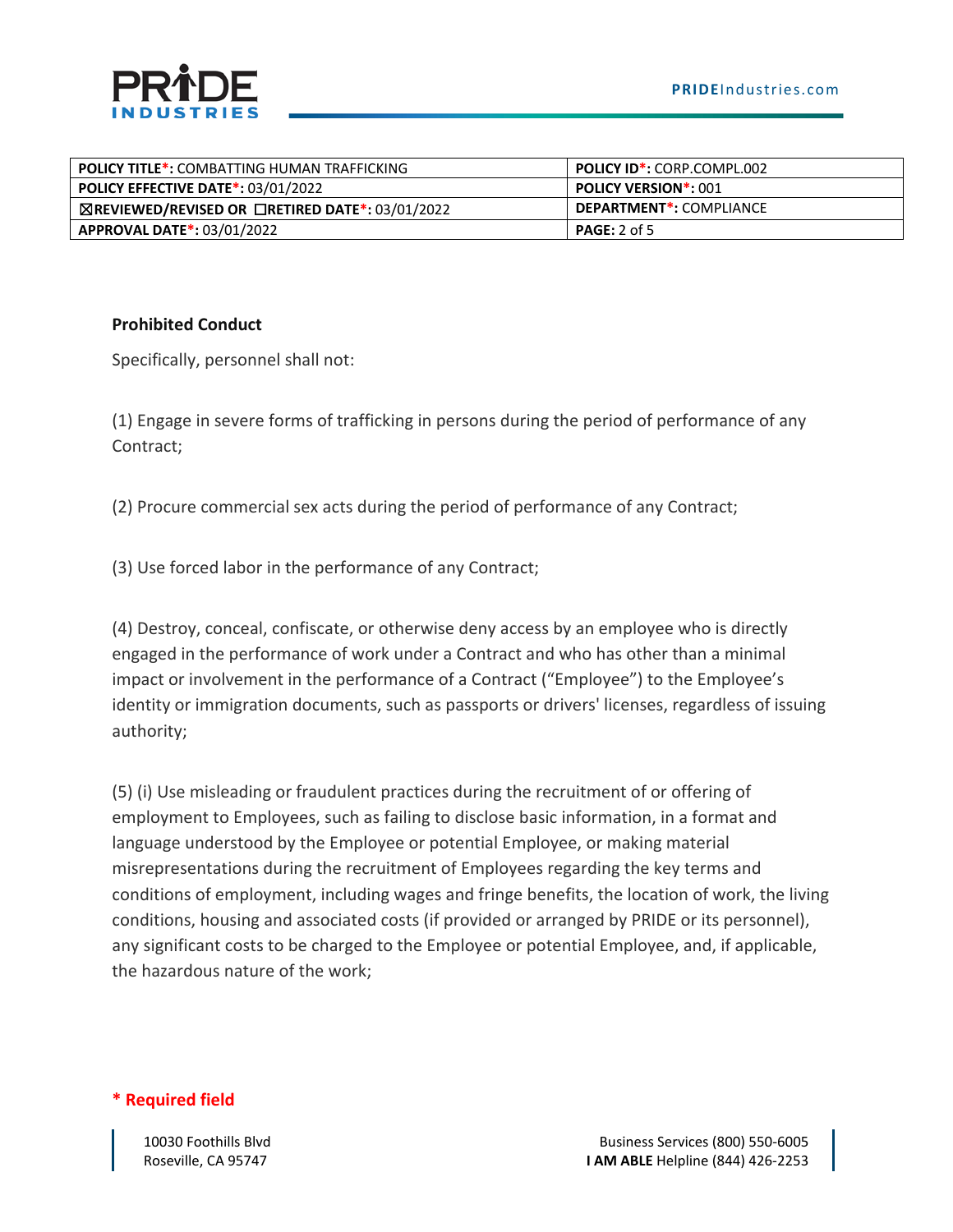| <b>POLICY TITLE*: COMBATTING HUMAN TRAFFICKING</b> | <b>POLICY ID*:</b> CORP.COMPL.002    |
|----------------------------------------------------|--------------------------------------|
| <b>POLICY EFFECTIVE DATE*: 03/01/2022</b>          | <b>POLICY VERSION*: 001</b>          |
| ⊠REVIEWED/REVISED OR □RETIRED DATE*: 03/01/2022    | DEPARTMENT <sup>*</sup> : COMPLIANCE |
| <b>APPROVAL DATE*: 03/01/2022</b>                  | <b>PAGE:</b> 2 of 5                  |

#### **Prohibited Conduct**

Specifically, personnel shall not:

(1) Engage in severe forms of trafficking in persons during the period of performance of any Contract;

(2) Procure commercial sex acts during the period of performance of any Contract;

(3) Use forced labor in the performance of any Contract;

(4) Destroy, conceal, confiscate, or otherwise deny access by an employee who is directly engaged in the performance of work under a Contract and who has other than a minimal impact or involvement in the performance of a Contract ("Employee") to the Employee's identity or immigration documents, such as passports or drivers' licenses, regardless of issuing authority;

(5) (i) Use misleading or fraudulent practices during the recruitment of or offering of employment to Employees, such as failing to disclose basic information, in a format and language understood by the Employee or potential Employee, or making material misrepresentations during the recruitment of Employees regarding the key terms and conditions of employment, including wages and fringe benefits, the location of work, the living conditions, housing and associated costs (if provided or arranged by PRIDE or its personnel), any significant costs to be charged to the Employee or potential Employee, and, if applicable, the hazardous nature of the work;

**\* Required field**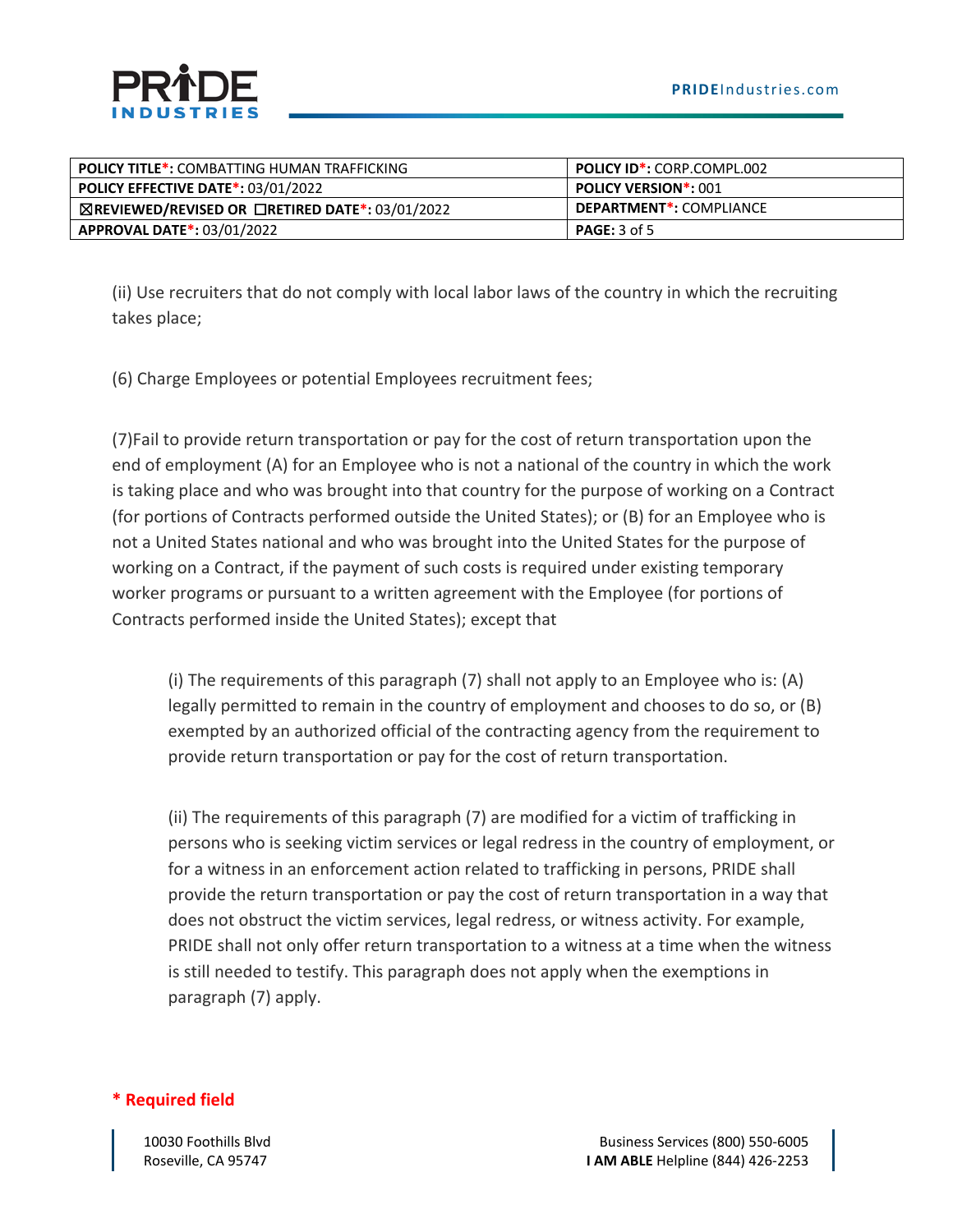| <b>POLICY TITLE*: COMBATTING HUMAN TRAFFICKING</b>               | <b>POLICY ID*: CORP.COMPL.002</b>    |  |
|------------------------------------------------------------------|--------------------------------------|--|
| <b>POLICY EFFECTIVE DATE*: 03/01/2022</b>                        | <b>POLICY VERSION*: 001</b>          |  |
| $\boxtimes$ REVIEWED/REVISED OR $\Box$ RETIRED DATE*: 03/01/2022 | DEPARTMENT <sup>*</sup> : COMPLIANCE |  |
| <b>APPROVAL DATE*: 03/01/2022</b>                                | <b>PAGE:</b> 3 of 5                  |  |

(ii) Use recruiters that do not comply with local labor laws of the country in which the recruiting takes place;

(6) Charge Employees or potential Employees recruitment fees;

(7)Fail to provide return transportation or pay for the cost of return transportation upon the end of employment (A) for an Employee who is not a national of the country in which the work is taking place and who was brought into that country for the purpose of working on a Contract (for portions of Contracts performed outside the United States); or (B) for an Employee who is not a United States national and who was brought into the United States for the purpose of working on a Contract, if the payment of such costs is required under existing temporary worker programs or pursuant to a written agreement with the Employee (for portions of Contracts performed inside the United States); except that

(i) The requirements of this paragraph (7) shall not apply to an Employee who is: (A) legally permitted to remain in the country of employment and chooses to do so, or (B) exempted by an authorized official of the contracting agency from the requirement to provide return transportation or pay for the cost of return transportation.

(ii) The requirements of this paragraph (7) are modified for a victim of trafficking in persons who is seeking victim services or legal redress in the country of employment, or for a witness in an enforcement action related to trafficking in persons, PRIDE shall provide the return transportation or pay the cost of return transportation in a way that does not obstruct the victim services, legal redress, or witness activity. For example, PRIDE shall not only offer return transportation to a witness at a time when the witness is still needed to testify. This paragraph does not apply when the exemptions in paragraph (7) apply.

#### **\* Required field**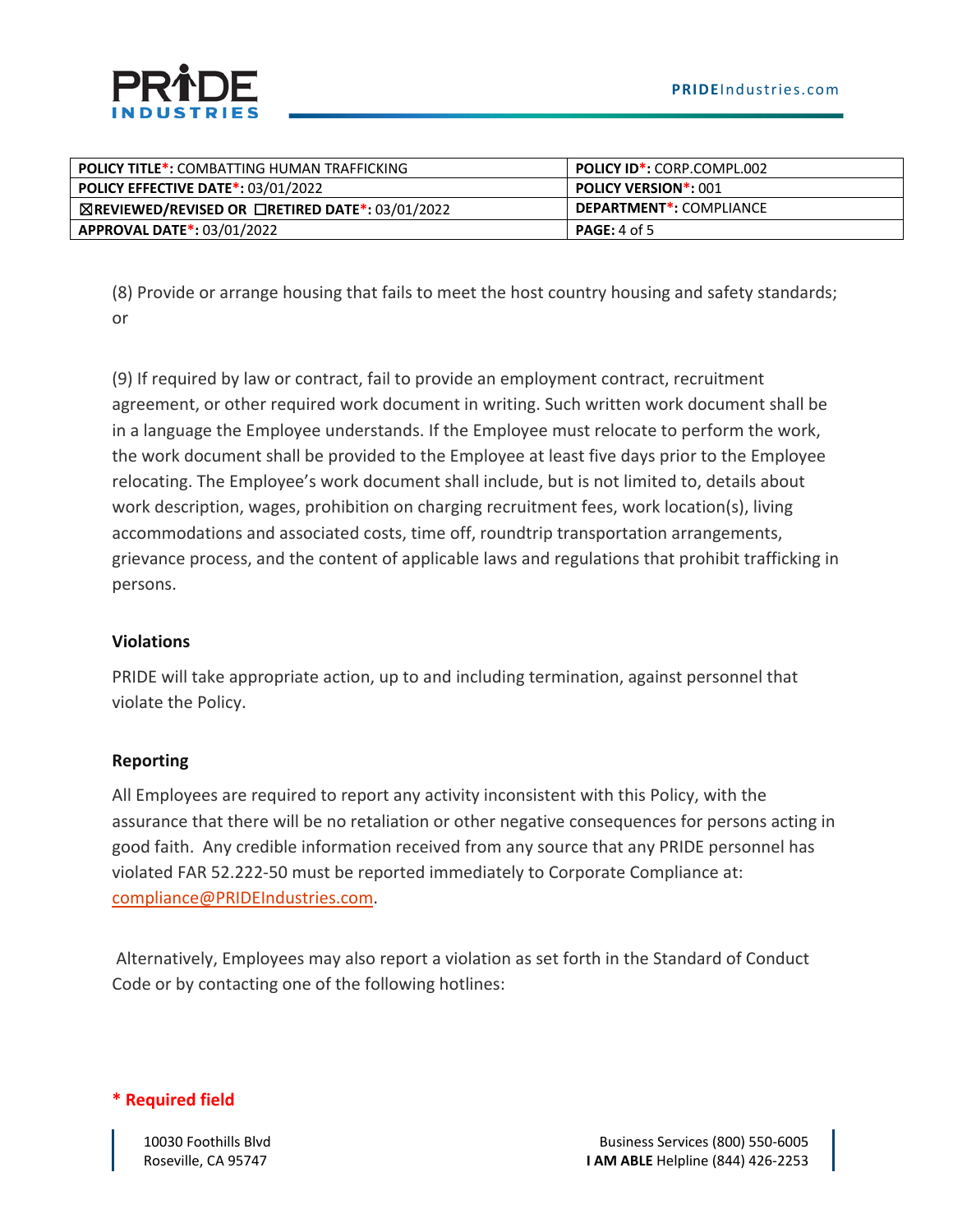| <b>POLICY TITLE*: COMBATTING HUMAN TRAFFICKING</b>               | <b>POLICY ID*: CORP.COMPL.002</b>    |  |
|------------------------------------------------------------------|--------------------------------------|--|
| <b>POLICY EFFECTIVE DATE*: 03/01/2022</b>                        | <b>POLICY VERSION*: 001</b>          |  |
| $\boxtimes$ REVIEWED/REVISED OR $\Box$ RETIRED DATE*: 03/01/2022 | DEPARTMENT <sup>*</sup> : COMPLIANCE |  |
| <b>APPROVAL DATE*: 03/01/2022</b>                                | <b>PAGE:</b> 4 of 5                  |  |

(8) Provide or arrange housing that fails to meet the host country housing and safety standards; or

(9) If required by law or contract, fail to provide an employment contract, recruitment agreement, or other required work document in writing. Such written work document shall be in a language the Employee understands. If the Employee must relocate to perform the work, the work document shall be provided to the Employee at least five days prior to the Employee relocating. The Employee's work document shall include, but is not limited to, details about work description, wages, prohibition on charging recruitment fees, work location(s), living accommodations and associated costs, time off, roundtrip transportation arrangements, grievance process, and the content of applicable laws and regulations that prohibit trafficking in persons.

#### **Violations**

PRIDE will take appropriate action, up to and including termination, against personnel that violate the Policy.

#### **Reporting**

All Employees are required to report any activity inconsistent with this Policy, with the assurance that there will be no retaliation or other negative consequences for persons acting in good faith. Any credible information received from any source that any PRIDE personnel has violated FAR 52.222-50 must be reported immediately to Corporate Compliance at: [compliance@PRIDEIndustries.com.](mailto:compliance@PRIDEIndustries.com)

Alternatively, Employees may also report a violation as set forth in the Standard of Conduct Code or by contacting one of the following hotlines:

#### **\* Required field**